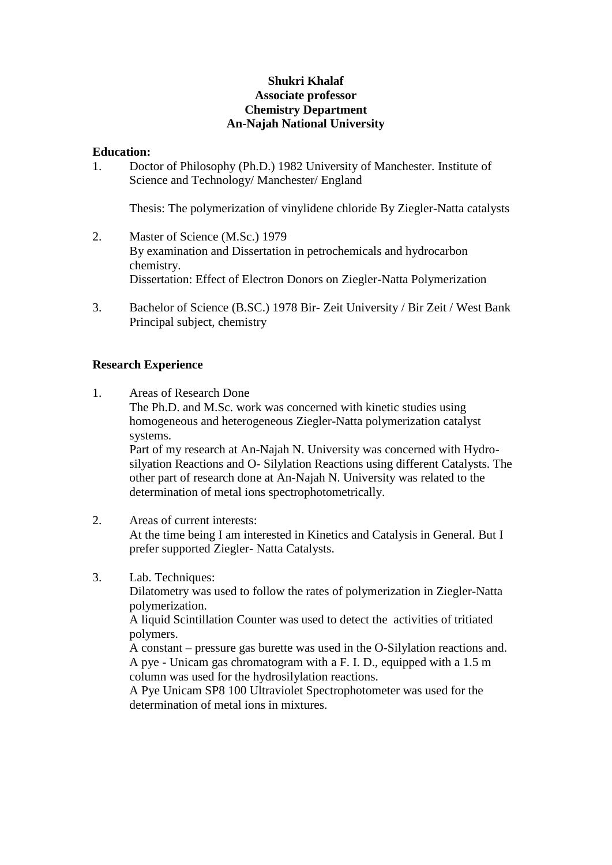## **Shukri Khalaf Associate professor Chemistry Department An-Najah National University**

### **Education:**

1. Doctor of Philosophy (Ph.D.) 1982 University of Manchester. Institute of Science and Technology/ Manchester/ England

Thesis: The polymerization of vinylidene chloride By Ziegler-Natta catalysts

- 2. Master of Science (M.Sc.) 1979 By examination and Dissertation in petrochemicals and hydrocarbon chemistry. Dissertation: Effect of Electron Donors on Ziegler-Natta Polymerization
- 3. Bachelor of Science (B.SC.) 1978 Bir- Zeit University / Bir Zeit / West Bank Principal subject, chemistry

### **Research Experience**

- 1. Areas of Research Done The Ph.D. and M.Sc. work was concerned with kinetic studies using homogeneous and heterogeneous Ziegler-Natta polymerization catalyst systems. Part of my research at An-Najah N. University was concerned with Hydro silyation Reactions and O- Silylation Reactions using different Catalysts. The other part of research done at An-Najah N. University was related to the determination of metal ions spectrophotometrically.
- 2. Areas of current interests: At the time being I am interested in Kinetics and Catalysis in General. But I prefer supported Ziegler- Natta Catalysts.

# 3. Lab. Techniques:

Dilatometry was used to follow the rates of polymerization in Ziegler-Natta polymerization.

A liquid Scintillation Counter was used to detect the activities of tritiated polymers.

A constant – pressure gas burette was used in the O-Silylation reactions and. A pye - Unicam gas chromatogram with a F. I. D., equipped with a 1.5 m column was used for the hydrosilylation reactions.

A Pye Unicam SP8 100 Ultraviolet Spectrophotometer was used for the determination of metal ions in mixtures.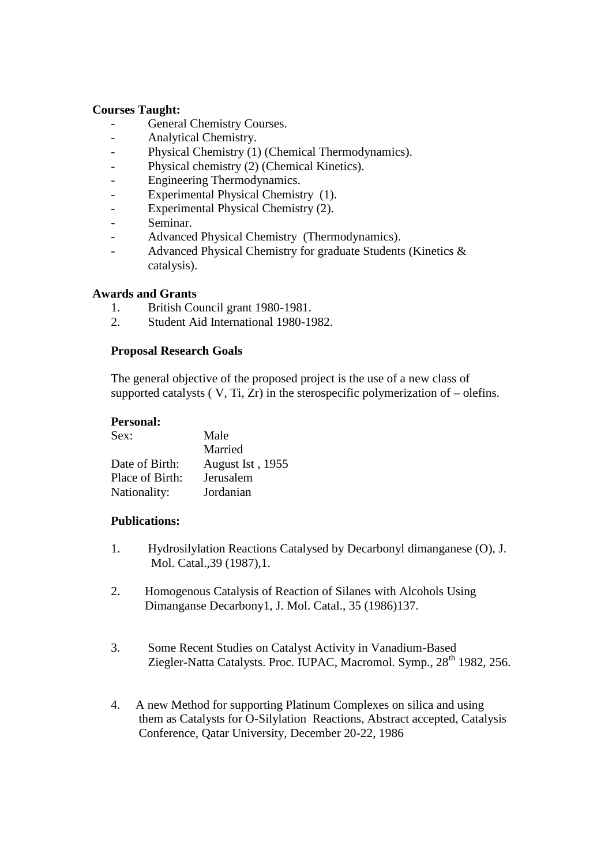#### **Courses Taught:**

- General Chemistry Courses.
- Analytical Chemistry.
- Physical Chemistry (1) (Chemical Thermodynamics).
- Physical chemistry (2) (Chemical Kinetics).
- Engineering Thermodynamics.
- Experimental Physical Chemistry (1).
- Experimental Physical Chemistry (2).
- Seminar.
- Advanced Physical Chemistry (Thermodynamics).
- Advanced Physical Chemistry for graduate Students (Kinetics & catalysis).

### **Awards and Grants**

- 1. British Council grant 1980-1981.
- 2. Student Aid International 1980-1982.

### **Proposal Research Goals**

The general objective of the proposed project is the use of a new class of supported catalysts  $(V, Ti, Zr)$  in the sterospecific polymerization of  $-$  olefins.

### **Personal:**

| Sex:            | Male             |
|-----------------|------------------|
|                 | Married          |
| Date of Birth:  | August Ist, 1955 |
| Place of Birth: | Jerusalem        |
| Nationality:    | Jordanian        |

# **Publications:**

- 1. Hydrosilylation Reactions Catalysed by Decarbonyl dimanganese (O), J. Mol. Catal.,39 (1987),1.
- 2. Homogenous Catalysis of Reaction of Silanes with Alcohols Using Dimanganse Decarbony1, J. Mol. Catal., 35 (1986)137.
- 3. Some Recent Studies on Catalyst Activity in Vanadium-Based Ziegler-Natta Catalysts. Proc. IUPAC, Macromol. Symp., 28<sup>th</sup> 1982, 256.
- 4. A new Method for supporting Platinum Complexes on silica and using them as Catalysts for O-Silylation Reactions, Abstract accepted, Catalysis Conference, Qatar University, December 20-22, 1986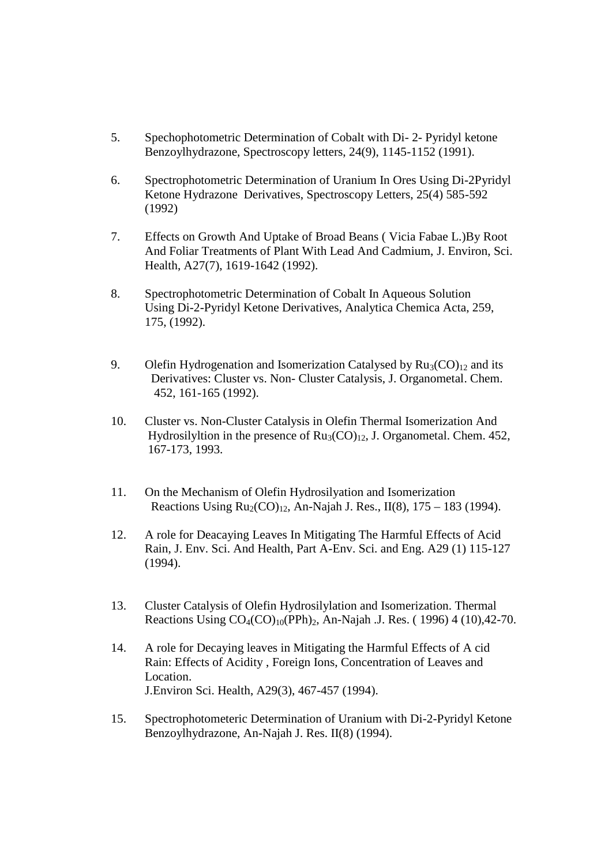- 5. Spechophotometric Determination of Cobalt with Di- 2- Pyridyl ketone Benzoylhydrazone, Spectroscopy letters, 24(9), 1145-1152 (1991).
- 6. Spectrophotometric Determination of Uranium In Ores Using Di-2Pyridyl Ketone Hydrazone Derivatives, Spectroscopy Letters, 25(4) 585-592 (1992)
- 7. Effects on Growth And Uptake of Broad Beans ( Vicia Fabae L.)By Root And Foliar Treatments of Plant With Lead And Cadmium, J. Environ, Sci. Health, A27(7), 1619-1642 (1992).
- 8. Spectrophotometric Determination of Cobalt In Aqueous Solution Using Di-2-Pyridyl Ketone Derivatives, Analytica Chemica Acta, 259, 175, (1992).
- 9. Olefin Hydrogenation and Isomerization Catalysed by  $Ru_3(CO)_{12}$  and its Derivatives: Cluster vs. Non- Cluster Catalysis, J. Organometal. Chem. 452, 161-165 (1992).
- 10. Cluster vs. Non-Cluster Catalysis in Olefin Thermal Isomerization And Hydrosilyltion in the presence of  $Ru_3(CO)_{12}$ , J. Organometal. Chem. 452, 167-173, 1993.
- 11. On the Mechanism of Olefin Hydrosilyation and Isomerization Reactions Using  $Ru_2(CO)_{12}$ , An-Najah J. Res., II(8), 175 – 183 (1994).
- 12. A role for Deacaying Leaves In Mitigating The Harmful Effects of Acid Rain, J. Env. Sci. And Health, Part A-Env. Sci. and Eng. A29 (1) 115-127 (1994).
- 13. Cluster Catalysis of Olefin Hydrosilylation and Isomerization. Thermal Reactions Using  $CO_4(CO)_{10}(PPh)_2$ , An-Najah .J. Res. (1996) 4 (10), 42-70.
- 14. A role for Decaying leaves in Mitigating the Harmful Effects of A cid Rain: Effects of Acidity , Foreign Ions, Concentration of Leaves and Location. J.Environ Sci. Health, A29(3), 467-457 (1994).
- 15. Spectrophotometeric Determination of Uranium with Di-2-Pyridyl Ketone Benzoylhydrazone, An-Najah J. Res. II(8) (1994).